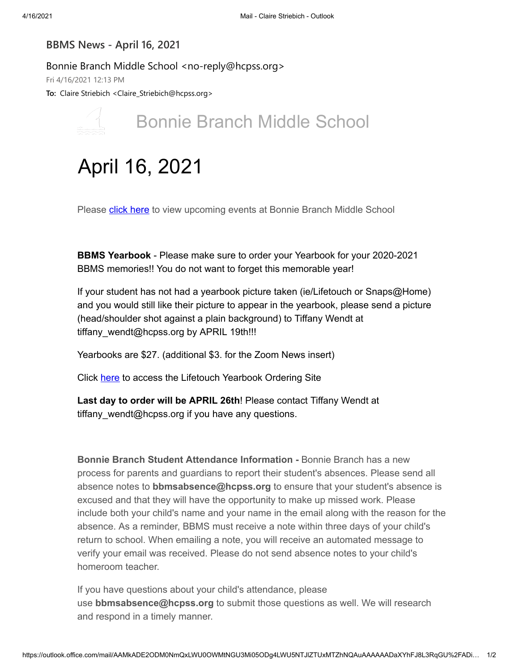## **BBMS News - April 16, 2021**

Bonnie Branch Middle School <no-reply@hcpss.org>

Fri 4/16/2021 12:13 PM

**To:** Claire Striebich <Claire\_Striebich@hcpss.org>



# Bonnie Branch Middle School

# April 16, 2021

Please **[click here](https://nam10.safelinks.protection.outlook.com/?url=http:%2F%2Ftrack.spe.schoolmessenger.com%2Ff%2Fa%2FB53lxXQWZXsiswEO4RRGWA~~%2FAAAAAQA~%2FRgRiWusRP4TgAWh0dHBzOi8vbmFtMDEuc2FmZWxpbmtzLnByb3RlY3Rpb24ub3V0bG9vay5jb20vP3VybD1odHRwOiUyRiUyRnRyYWNrLnNwZS5zY2hvb2xtZXNzZW5nZXIuY29tJTJGZiUyRmElMkZtTlMzVDlfUWljQjBxLXExWHk2SHJnfn4lMkZBQUFBQVFBfiUyRlJnUmhNMmZfUDBRZWFIUjBjRG92TDJKaWJYTXVhR053YzNNdWIzSm5MMk5oYkdWdVpHRnlWd2R6WTJodmIyeHRRZ29BUm44MFVsOVVXS1MwVWhwamJHRnBjbVZmYzNSeWFXVmlhV05vUUdoamNITnpMbTl5WjFnRUFBQUFBUX5-JmRhdGE9MDIlN0MwMSU3Q2NsYWlyZV9zdHJpZWJpY2glNDBoY3Bzcy5vcmclN0M3NTEzODFkNThiOWM0MWQ0MWZiYzA4ZDg1MGNlZjc5YyU3Qzk2YTlhYzRjNDc3ZTRkYWRhMmIyOGFkM2ZjNDY3OTBiJTdDMSU3QzAlN0M2MzczNDgxOTcxMjg5NTUxODgmc2RhdGE9QTdEVndmV09vNCUyRmQ3aWRySVhXOFBUV080bTJud29vJTJCT3BOdTl0ZVZSZTQlM0QmcmVzZXJ2ZWQ9MFcHc2Nob29sbUIKYHWRt3lgqOtfIlIaY2xhaXJlX3N0cmllYmljaEBoY3Bzcy5vcmdYBAAAAAE~&data=04%7C01%7Cclaire_striebich%40hcpss.org%7C087256d284574613a5ac08d900f28861%7C96a9ac4c477e4dada2b28ad3fc46790b%7C0%7C0%7C637541863934720801%7CUnknown%7CTWFpbGZsb3d8eyJWIjoiMC4wLjAwMDAiLCJQIjoiV2luMzIiLCJBTiI6Ik1haWwiLCJXVCI6Mn0%3D%7C1000&sdata=kELMmzhJqRvXsJZ6iDnPo%2FEfO4%2FhWGmF7olKn6hSaGk%3D&reserved=0)** to view upcoming events at Bonnie Branch Middle School

**BBMS Yearbook** - Please make sure to order your Yearbook for your 2020-2021 BBMS memories!! You do not want to forget this memorable year!

If your student has not had a yearbook picture taken (ie/Lifetouch or Snaps@Home) and you would still like their picture to appear in the yearbook, please send a picture (head/shoulder shot against a plain background) to Tiffany Wendt at tiffany\_wendt@hcpss.org by APRIL 19th!!!

Yearbooks are \$27. (additional \$3. for the Zoom News insert)

Click [here](https://nam10.safelinks.protection.outlook.com/?url=http:%2F%2Ftrack.spe.schoolmessenger.com%2Ff%2Fa%2Fol0BivYalFxJpvUTuDldHQ~~%2FAAAAAQA~%2FRgRiWusRP0RXaHR0cHM6Ly95YnBheS5saWZldG91Y2guY29tL09yZGVyL1NlbGVjdEpvYj9pc0FkdmVydGlzZW1lbnRPbmx5PUZhbHNlJmpvYm51bWJlcj00MzI3MjIxVwdzY2hvb2xtQgpgdZG3eWCo618iUhpjbGFpcmVfc3RyaWViaWNoQGhjcHNzLm9yZ1gEAAAAAQ~~&data=04%7C01%7Cclaire_striebich%40hcpss.org%7C087256d284574613a5ac08d900f28861%7C96a9ac4c477e4dada2b28ad3fc46790b%7C0%7C0%7C637541863934730795%7CUnknown%7CTWFpbGZsb3d8eyJWIjoiMC4wLjAwMDAiLCJQIjoiV2luMzIiLCJBTiI6Ik1haWwiLCJXVCI6Mn0%3D%7C1000&sdata=58gRwJ3%2FXtgEi%2B7jt6fRHcwmRKZS4pXZVkmJPOblCws%3D&reserved=0) to access the Lifetouch Yearbook Ordering Site

**Last day to order will be APRIL 26th**! Please contact Tiffany Wendt at tiffany\_wendt@hcpss.org if you have any questions.

**Bonnie Branch Student Attendance Information -** Bonnie Branch has a new process for parents and guardians to report their student's absences. Please send all absence notes to **bbmsabsence@hcpss.org** to ensure that your student's absence is excused and that they will have the opportunity to make up missed work. Please include both your child's name and your name in the email along with the reason for the absence. As a reminder, BBMS must receive a note within three days of your child's return to school. When emailing a note, you will receive an automated message to verify your email was received. Please do not send absence notes to your child's homeroom teacher.

If you have questions about your child's attendance, please use **bbmsabsence@hcpss.org** to submit those questions as well. We will research and respond in a timely manner.